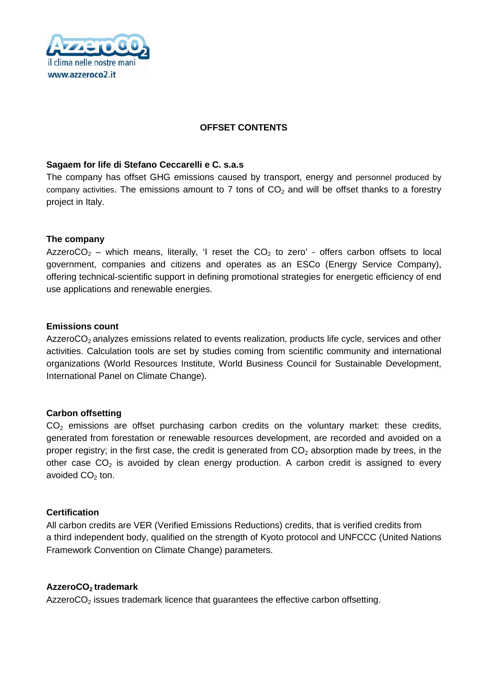

#### **OFFSET CONTENTS**

#### **Sagaem for life di Stefano Ceccarelli e C. s.a.s**

The company has offset GHG emissions caused by transport, energy and personnel produced by company activities. The emissions amount to 7 tons of  $CO<sub>2</sub>$  and will be offset thanks to a forestry project in Italy.

#### **The company**

AzzeroCO<sub>2</sub> – which means, literally, 'I reset the CO<sub>2</sub> to zero' - offers carbon offsets to local government, companies and citizens and operates as an ESCo (Energy Service Company), offering technical-scientific support in defining promotional strategies for energetic efficiency of end use applications and renewable energies.

#### **Emissions count**

AzzeroCO<sub>2</sub> analyzes emissions related to events realization, products life cycle, services and other activities. Calculation tools are set by studies coming from scientific community and international organizations (World Resources Institute, World Business Council for Sustainable Development, International Panel on Climate Change).

#### **Carbon offsetting**

 $CO<sub>2</sub>$  emissions are offset purchasing carbon credits on the voluntary market: these credits, generated from forestation or renewable resources development, are recorded and avoided on a proper registry; in the first case, the credit is generated from  $CO<sub>2</sub>$  absorption made by trees, in the other case  $CO<sub>2</sub>$  is avoided by clean energy production. A carbon credit is assigned to every avoided  $CO<sub>2</sub>$  ton.

#### **Certification**

All carbon credits are VER (Verified Emissions Reductions) credits, that is verified credits from a third independent body, qualified on the strength of Kyoto protocol and UNFCCC (United Nations Framework Convention on Climate Change) parameters.

#### **AzzeroCO<sup>2</sup> trademark**

AzzeroCO<sub>2</sub> issues trademark licence that guarantees the effective carbon offsetting.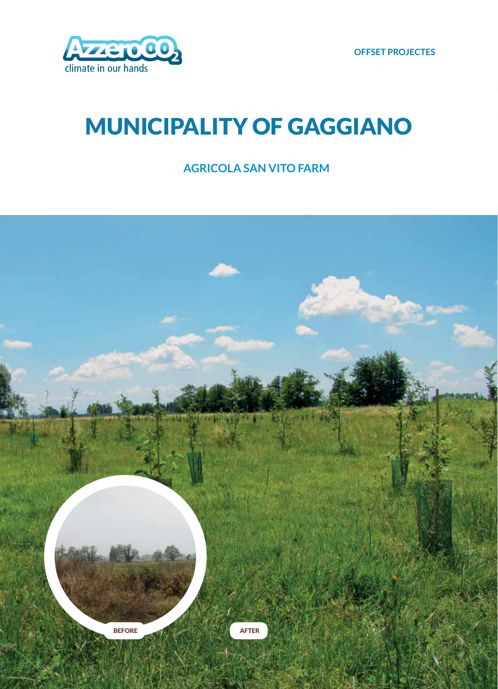

## **MUNICIPALITY OF GAGGIANO**

### **AGRICOLA SAN VITO FARM**

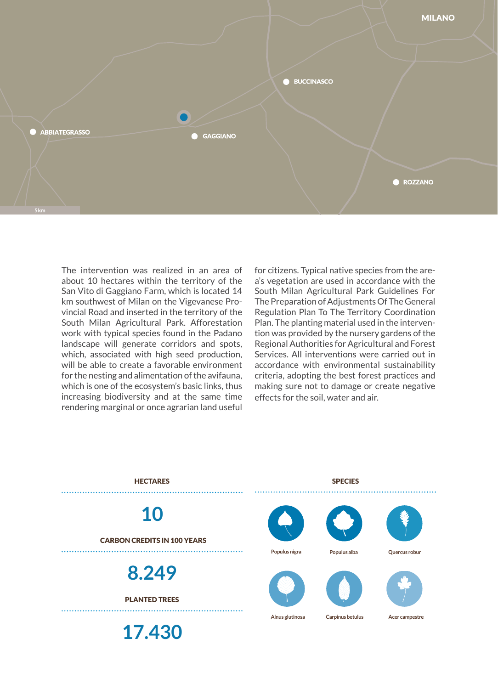

The intervention was realized in an area of about 10 hectares within the territory of the San Vito di Gaggiano Farm, which is located 14 km southwest of Milan on the Vigevanese Provincial Road and inserted in the territory of the South Milan Agricultural Park. Afforestation work with typical species found in the Padano landscape will generate corridors and spots, which, associated with high seed production, will be able to create a favorable environment for the nesting and alimentation of the avifauna, which is one of the ecosystem's basic links, thus increasing biodiversity and at the same time rendering marginal or once agrarian land useful

for citizens. Typical native species from the area's vegetation are used in accordance with the South Milan Agricultural Park Guidelines For The Preparation of Adjustments Of The General Regulation Plan To The Territory Coordination Plan. The planting material used in the intervention was provided by the nursery gardens of the Regional Authorities for Agricultural and Forest Services. All interventions were carried out in accordance with environmental sustainability criteria, adopting the best forest practices and making sure not to damage or create negative effects for the soil, water and air.